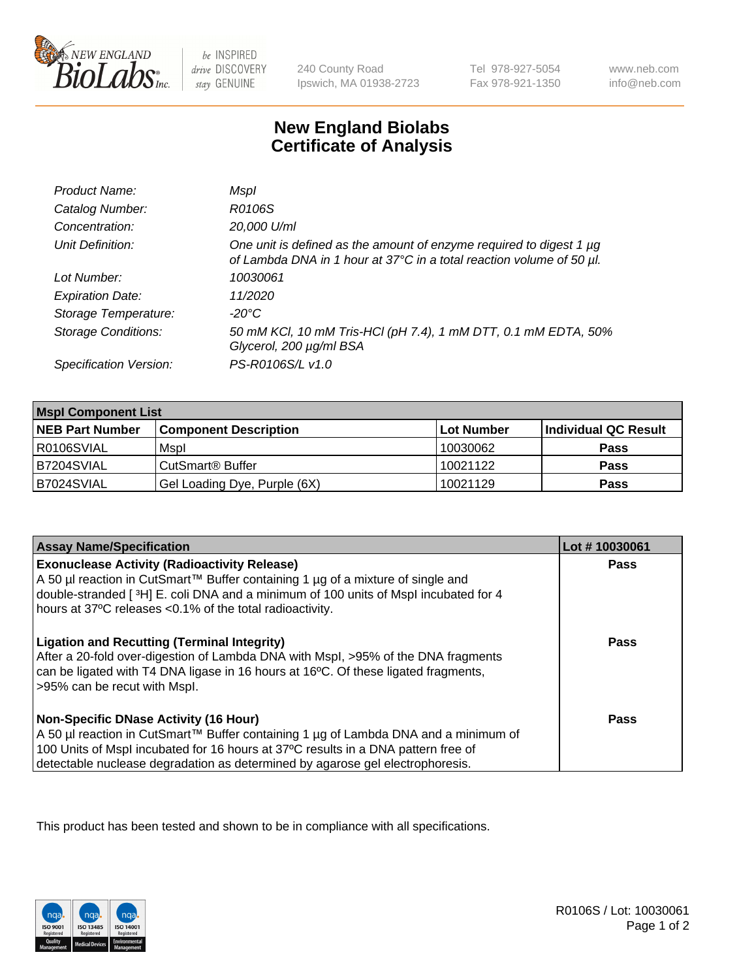

 $be$  INSPIRED drive DISCOVERY stay GENUINE

240 County Road Ipswich, MA 01938-2723 Tel 978-927-5054 Fax 978-921-1350

www.neb.com info@neb.com

## **New England Biolabs Certificate of Analysis**

| Product Name:              | Mspl                                                                                                                                        |
|----------------------------|---------------------------------------------------------------------------------------------------------------------------------------------|
| Catalog Number:            | R0106S                                                                                                                                      |
| Concentration:             | 20,000 U/ml                                                                                                                                 |
| Unit Definition:           | One unit is defined as the amount of enzyme required to digest 1 µg<br>of Lambda DNA in 1 hour at 37°C in a total reaction volume of 50 µl. |
| Lot Number:                | 10030061                                                                                                                                    |
| <b>Expiration Date:</b>    | 11/2020                                                                                                                                     |
| Storage Temperature:       | -20°C                                                                                                                                       |
| <b>Storage Conditions:</b> | 50 mM KCl, 10 mM Tris-HCl (pH 7.4), 1 mM DTT, 0.1 mM EDTA, 50%<br>Glycerol, 200 µg/ml BSA                                                   |
| Specification Version:     | PS-R0106S/L v1.0                                                                                                                            |

| <b>Mspl Component List</b> |                              |            |                      |  |
|----------------------------|------------------------------|------------|----------------------|--|
| <b>NEB Part Number</b>     | <b>Component Description</b> | Lot Number | Individual QC Result |  |
| R0106SVIAL                 | Mspl                         | 10030062   | <b>Pass</b>          |  |
| B7204SVIAL                 | CutSmart <sup>®</sup> Buffer | 10021122   | <b>Pass</b>          |  |
| B7024SVIAL                 | Gel Loading Dye, Purple (6X) | 10021129   | <b>Pass</b>          |  |

| <b>Assay Name/Specification</b>                                                                                                                                                                                                                                                                             | Lot #10030061 |
|-------------------------------------------------------------------------------------------------------------------------------------------------------------------------------------------------------------------------------------------------------------------------------------------------------------|---------------|
| <b>Exonuclease Activity (Radioactivity Release)</b><br>A 50 µl reaction in CutSmart™ Buffer containing 1 µg of a mixture of single and<br>double-stranded [3H] E. coli DNA and a minimum of 100 units of Mspl incubated for 4<br>hours at 37°C releases <0.1% of the total radioactivity.                   | Pass          |
| <b>Ligation and Recutting (Terminal Integrity)</b><br>After a 20-fold over-digestion of Lambda DNA with Mspl, >95% of the DNA fragments<br>can be ligated with T4 DNA ligase in 16 hours at 16 <sup>o</sup> C. Of these ligated fragments,<br>>95% can be recut with Mspl.                                  | Pass          |
| <b>Non-Specific DNase Activity (16 Hour)</b><br>  A 50 µl reaction in CutSmart™ Buffer containing 1 µg of Lambda DNA and a minimum of<br>100 Units of Mspl incubated for 16 hours at 37°C results in a DNA pattern free of<br>detectable nuclease degradation as determined by agarose gel electrophoresis. | Pass          |

This product has been tested and shown to be in compliance with all specifications.